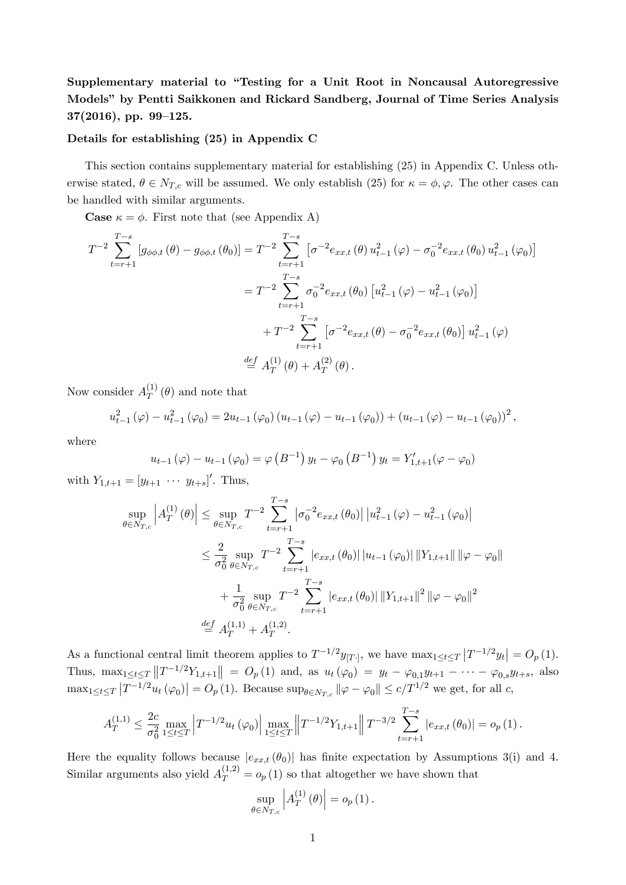Supplementary material to "Testing for a Unit Root in Noncausal Autoregressive Modelsî by Pentti Saikkonen and Rickard Sandberg, Journal of Time Series Analysis  $37(2016)$ , pp. 99–125.

## Details for establishing (25) in Appendix C

This section contains supplementary material for establishing (25) in Appendix C. Unless otherwise stated,  $\theta \in N_{T,c}$  will be assumed. We only establish (25) for  $\kappa = \phi, \varphi$ . The other cases can be handled with similar arguments.

**Case**  $\kappa = \phi$ . First note that (see Appendix A)

$$
T^{-2} \sum_{t=r+1}^{T-s} \left[ g_{\phi\phi,t}(\theta) - g_{\phi\phi,t}(\theta_0) \right] = T^{-2} \sum_{t=r+1}^{T-s} \left[ \sigma^{-2} e_{xx,t}(\theta) u_{t-1}^2(\varphi) - \sigma_0^{-2} e_{xx,t}(\theta_0) u_{t-1}^2(\varphi_0) \right]
$$
  

$$
= T^{-2} \sum_{t=r+1}^{T-s} \sigma_0^{-2} e_{xx,t}(\theta_0) \left[ u_{t-1}^2(\varphi) - u_{t-1}^2(\varphi_0) \right]
$$
  

$$
+ T^{-2} \sum_{t=r+1}^{T-s} \left[ \sigma^{-2} e_{xx,t}(\theta) - \sigma_0^{-2} e_{xx,t}(\theta_0) \right] u_{t-1}^2(\varphi)
$$
  

$$
\stackrel{def}{=} A_T^{(1)}(\theta) + A_T^{(2)}(\theta).
$$

Now consider  $A_T^{(1)}$  $T^{(1)}(\theta)$  and note that

$$
u_{t-1}^{2}(\varphi) - u_{t-1}^{2}(\varphi_{0}) = 2u_{t-1}(\varphi_{0}) (u_{t-1}(\varphi) - u_{t-1}(\varphi_{0})) + (u_{t-1}(\varphi) - u_{t-1}(\varphi_{0}))^{2},
$$

where

$$
u_{t-1}(\varphi) - u_{t-1}(\varphi_0) = \varphi(B^{-1}) y_t - \varphi_0(B^{-1}) y_t = Y'_{1,t+1}(\varphi - \varphi_0)
$$

with  $Y_{1,t+1} = [y_{t+1} \cdots y_{t+s}]'$ . Thus,

$$
\sup_{\theta \in N_{T,c}} \left| A_T^{(1)}(\theta) \right| \leq \sup_{\theta \in N_{T,c}} T^{-2} \sum_{t=r+1}^{T-s} \left| \sigma_0^{-2} e_{xx,t}(\theta_0) \right| \left| u_{t-1}^2(\varphi) - u_{t-1}^2(\varphi_0) \right|
$$
  

$$
\leq \frac{2}{\sigma_0^2} \sup_{\theta \in N_{T,c}} T^{-2} \sum_{t=r+1}^{T-s} \left| e_{xx,t}(\theta_0) \right| \left| u_{t-1}(\varphi_0) \right| \left\| Y_{1,t+1} \right\| \left\| \varphi - \varphi_0 \right\|
$$
  

$$
+ \frac{1}{\sigma_0^2} \sup_{\theta \in N_{T,c}} T^{-2} \sum_{t=r+1}^{T-s} \left| e_{xx,t}(\theta_0) \right| \left\| Y_{1,t+1} \right\|^2 \left\| \varphi - \varphi_0 \right\|^2
$$
  

$$
\stackrel{def}{=} A_T^{(1,1)} + A_T^{(1,2)}.
$$

As a functional central limit theorem applies to  $T^{-1/2}y_{[T]}$ , we have  $\max_{1 \leq t \leq T} |T^{-1/2}y_t| = O_p(1)$ . Thus,  $\max_{1 \leq t \leq T} ||T^{-1/2}Y_{1,t+1}|| = O_p(1)$  and, as  $u_t(\varphi_0) = y_t - \varphi_{0,1}y_{t+1} - \cdots - \varphi_{0,s}y_{t+s}$ , also  $\max_{1 \leq t \leq T} |T^{-1/2}u_t(\varphi_0)| = O_p(1)$ . Because  $\sup_{\theta \in N_{T,c}} \|\varphi - \varphi_0\| \leq c/T^{1/2}$  we get, for all c,

$$
A_T^{(1,1)} \leq \frac{2c}{\sigma_0^2} \max_{1 \leq t \leq T} \left| T^{-1/2} u_t(\varphi_0) \right| \max_{1 \leq t \leq T} \left\| T^{-1/2} Y_{1,t+1} \right\| T^{-3/2} \sum_{t=r+1}^{T-s} |e_{xx,t}(\theta_0)| = o_p(1).
$$

Here the equality follows because  $|e_{xx,t}(\theta_0)|$  has finite expectation by Assumptions 3(i) and 4. Similar arguments also yield  $A_T^{(1,2)} = o_p(1)$  so that altogether we have shown that

$$
\sup_{\theta \in N_{T,c}} \left| A_T^{(1)}(\theta) \right| = o_p(1).
$$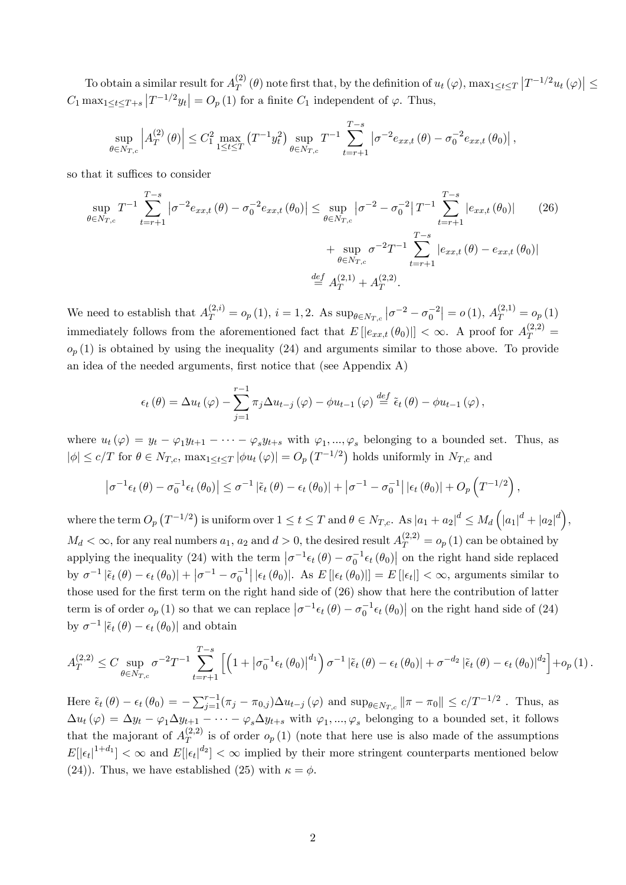To obtain a similar result for  $A_T^{(2)}$  $T(T^{(2)}(\theta))$  note first that, by the definition of  $u_t(\varphi)$ ,  $\max_{1 \le t \le T} |T^{-1/2}u_t(\varphi)| \le$  $C_1 \max_{1 \leq t \leq T + s} |T^{-1/2}y_t| = O_p(1)$  for a finite  $C_1$  independent of  $\varphi$ . Thus,

$$
\sup_{\theta \in N_{T,c}} \left| A_T^{(2)}(\theta) \right| \le C_1^2 \max_{1 \le t \le T} (T^{-1} y_t^2) \sup_{\theta \in N_{T,c}} T^{-1} \sum_{t=r+1}^{T-s} \left| \sigma^{-2} e_{xx,t}(\theta) - \sigma_0^{-2} e_{xx,t}(\theta_0) \right|,
$$

so that it suffices to consider

$$
\sup_{\theta \in N_{T,c}} T^{-1} \sum_{t=r+1}^{T-s} \left| \sigma^{-2} e_{xx,t} \left( \theta \right) - \sigma_0^{-2} e_{xx,t} \left( \theta_0 \right) \right| \leq \sup_{\theta \in N_{T,c}} \left| \sigma^{-2} - \sigma_0^{-2} \right| T^{-1} \sum_{t=r+1}^{T-s} \left| e_{xx,t} \left( \theta_0 \right) \right| \tag{26}
$$
\n
$$
+ \sup_{\theta \in N_{T,c}} \sigma^{-2} T^{-1} \sum_{t=r+1}^{T-s} \left| e_{xx,t} \left( \theta \right) - e_{xx,t} \left( \theta_0 \right) \right|
$$
\n
$$
\stackrel{def}{=} A_T^{(2,1)} + A_T^{(2,2)}.
$$

We need to establish that  $A_T^{(2,i)} = o_p(1)$ ,  $i = 1, 2$ . As  $\sup_{\theta \in N_{T,c}} |\sigma^{-2} - \sigma_0^{-2}| = o(1)$ ,  $A_T^{(2,1)} = o_p(1)$ immediately follows from the aforementioned fact that  $E[|e_{xx,t}(\theta_0)|] < \infty$ . A proof for  $A_T^{(2,2)} =$  $o_p(1)$  is obtained by using the inequality (24) and arguments similar to those above. To provide an idea of the needed arguments, first notice that (see Appendix A)

$$
\epsilon_t(\theta) = \Delta u_t(\varphi) - \sum_{j=1}^{r-1} \pi_j \Delta u_{t-j}(\varphi) - \phi u_{t-1}(\varphi) \stackrel{def}{=} \tilde{\epsilon}_t(\theta) - \phi u_{t-1}(\varphi),
$$

where  $u_t(\varphi) = y_t - \varphi_1 y_{t+1} - \cdots - \varphi_s y_{t+s}$  with  $\varphi_1, ..., \varphi_s$  belonging to a bounded set. Thus, as  $|\phi| \le c/T$  for  $\theta \in N_{T,c}$ ,  $\max_{1 \le t \le T} |\phi u_t(\varphi)| = O_p(T^{-1/2})$  holds uniformly in  $N_{T,c}$  and

$$
\left|\sigma^{-1}\epsilon_t(\theta)-\sigma_0^{-1}\epsilon_t(\theta_0)\right|\leq \sigma^{-1}\left|\tilde{\epsilon}_t(\theta)-\epsilon_t(\theta_0)\right|+\left|\sigma^{-1}-\sigma_0^{-1}\right||\epsilon_t(\theta_0)|+O_p\left(T^{-1/2}\right),
$$

where the term  $O_p(T^{-1/2})$  is uniform over  $1 \le t \le T$  and  $\theta \in N_{T,c}$ . As  $|a_1 + a_2|^d \le M_d \left( |a_1|^d + |a_2|^d \right)$ ,  $M_d < \infty$ , for any real numbers  $a_1$ ,  $a_2$  and  $d > 0$ , the desired result  $A_T^{(2,2)} = o_p(1)$  can be obtained by applying the inequality (24) with the term  $\left|\sigma^{-1}\epsilon_t(\theta) - \sigma_0^{-1}\epsilon_t(\theta_0)\right|$  on the right hand side replaced by  $\sigma^{-1} |\tilde{\epsilon}_t(\theta) - \epsilon_t(\theta_0)| + |\sigma^{-1} - \sigma_0^{-1}| |\epsilon_t(\theta_0)|$ . As  $E[|\epsilon_t(\theta_0)|] = E[|\epsilon_t|] < \infty$ , arguments similar to those used for the first term on the right hand side of (26) show that here the contribution of latter term is of order  $o_p(1)$  so that we can replace  $\left|\sigma^{-1}\epsilon_t(\theta) - \sigma_0^{-1}\epsilon_t(\theta_0)\right|$  on the right hand side of (24) by  $\sigma^{-1}|\tilde{\epsilon}_t(\theta) - \epsilon_t(\theta_0)|$  and obtain

$$
A_T^{(2,2)} \le C \sup_{\theta \in N_{T,c}} \sigma^{-2} T^{-1} \sum_{t=r+1}^{T-s} \left[ \left( 1 + |\sigma_0^{-1} \epsilon_t(\theta_0)|^{d_1} \right) \sigma^{-1} |\tilde{\epsilon}_t(\theta) - \epsilon_t(\theta_0)| + \sigma^{-d_2} |\tilde{\epsilon}_t(\theta) - \epsilon_t(\theta_0)|^{d_2} \right] + o_p(1).
$$

Here  $\tilde{\epsilon}_t (\theta) - \epsilon_t (\theta_0) = - \sum_{j=1}^{r-1} (\pi_j - \pi_{0,j}) \Delta u_{t-j} (\varphi)$  and  $\sup_{\theta \in N_{T,c}} ||\pi - \pi_0|| \le c/T^{-1/2}$ . Thus, as  $\Delta u_t(\varphi) = \Delta y_t - \varphi_1 \Delta y_{t+1} - \cdots - \varphi_s \Delta y_{t+s}$  with  $\varphi_1, ..., \varphi_s$  belonging to a bounded set, it follows that the majorant of  $A_T^{(2,2)}$  $T^{(2,2)}$  is of order  $o_p(1)$  (note that here use is also made of the assumptions  $E[|\epsilon_t|^{1+d_1}] < \infty$  and  $E[|\epsilon_t|^{d_2}] < \infty$  implied by their more stringent counterparts mentioned below (24)). Thus, we have established (25) with  $\kappa = \phi$ .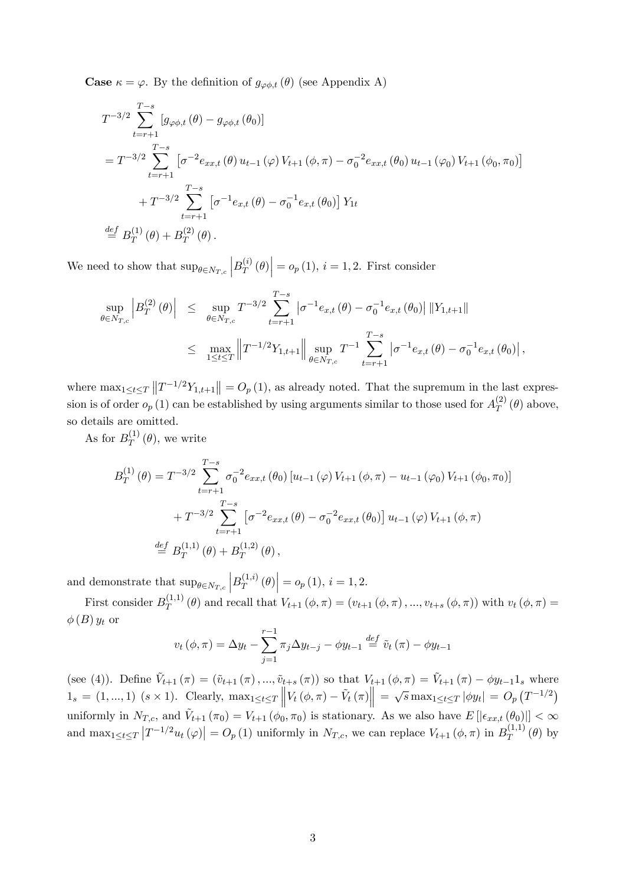**Case**  $\kappa = \varphi$ . By the definition of  $g_{\varphi \phi, t}(\theta)$  (see Appendix A)

$$
T^{-3/2} \sum_{t=r+1}^{T-s} [g_{\varphi\phi,t}(\theta) - g_{\varphi\phi,t}(\theta_0)]
$$
  
=  $T^{-3/2} \sum_{t=r+1}^{T-s} [\sigma^{-2}e_{xx,t}(\theta) u_{t-1}(\varphi) V_{t+1}(\phi,\pi) - \sigma_0^{-2}e_{xx,t}(\theta_0) u_{t-1}(\varphi_0) V_{t+1}(\phi_0,\pi_0)]$   
+  $T^{-3/2} \sum_{t=r+1}^{T-s} [\sigma^{-1}e_{x,t}(\theta) - \sigma_0^{-1}e_{x,t}(\theta_0)] Y_{1t}$   
*def*  $B_T^{(1)}(\theta) + B_T^{(2)}(\theta)$ .

We need to show that  $\sup_{\theta \in N_{T,c}} \Big| B_T^{(i)}$  $\begin{vmatrix} i^{(i)} \\ T \end{vmatrix}$  =  $o_p(1), i = 1, 2$ . First consider

$$
\sup_{\theta \in N_{T,c}} \left| B_T^{(2)}(\theta) \right| \leq \sup_{\theta \in N_{T,c}} T^{-3/2} \sum_{t=r+1}^{T-s} \left| \sigma^{-1} e_{x,t}(\theta) - \sigma_0^{-1} e_{x,t}(\theta_0) \right| ||Y_{1,t+1}||
$$
  

$$
\leq \max_{1 \leq t \leq T} \left\| T^{-1/2} Y_{1,t+1} \right\| \sup_{\theta \in N_{T,c}} T^{-1} \sum_{t=r+1}^{T-s} \left| \sigma^{-1} e_{x,t}(\theta) - \sigma_0^{-1} e_{x,t}(\theta_0) \right|,
$$

where  $\max_{1 \leq t \leq T} ||T^{-1/2}Y_{1,t+1}|| = O_p(1)$ , as already noted. That the supremum in the last expression is of order  $o_p(1)$  can be established by using arguments similar to those used for  $A_T^{(2)}$  $T^{(2)}(\theta)$  above, so details are omitted.

As for  $B_T^{(1)}$  $T^{(1)}(\theta)$ , we write

$$
B_T^{(1)}(\theta) = T^{-3/2} \sum_{t=r+1}^{T-s} \sigma_0^{-2} e_{xx,t} (\theta_0) [u_{t-1}(\varphi) V_{t+1}(\phi, \pi) - u_{t-1}(\varphi_0) V_{t+1}(\phi_0, \pi_0)]
$$
  
+ 
$$
T^{-3/2} \sum_{t=r+1}^{T-s} [\sigma^{-2} e_{xx,t}(\theta) - \sigma_0^{-2} e_{xx,t}(\theta_0)] u_{t-1}(\varphi) V_{t+1}(\phi, \pi)
$$
  

$$
\stackrel{def}{=} B_T^{(1,1)}(\theta) + B_T^{(1,2)}(\theta),
$$

and demonstrate that  $\sup_{\theta \in N_{T,c}} |B_T^{(1,i)}|$  $\left| \mathcal{F}_{T}^{(1,i)}(\theta) \right| = o_p(1), i = 1,2.$ 

First consider  $B_T^{(1,1)}$  $T^{(1,1)}_T(\theta)$  and recall that  $V_{t+1}(\phi, \pi) = (v_{t+1}(\phi, \pi), ..., v_{t+s}(\phi, \pi))$  with  $v_t(\phi, \pi) =$  $\phi(B) y_t$  or

$$
v_t(\phi, \pi) = \Delta y_t - \sum_{j=1}^{r-1} \pi_j \Delta y_{t-j} - \phi y_{t-1} \stackrel{def}{=} \tilde{v}_t(\pi) - \phi y_{t-1}
$$

(see (4)). Define  $\tilde{V}_{t+1} (\pi) = (\tilde{v}_{t+1} (\pi), ..., \tilde{v}_{t+s} (\pi))$  so that  $V_{t+1} (\phi, \pi) = \tilde{V}_{t+1} (\pi) - \phi y_{t-1} \mathbb{1}_s$  where  $1_s = (1, ..., 1) \ (s \times 1)$ . Clearly,  $\max_{1 \le t \le T} ||V_t(\phi, \pi) - \tilde{V}_t(\pi)|| = \sqrt{s} \max_{1 \le t \le T} |\phi y_t| = O_p(T^{-1/2})$ uniformly in  $N_{T,c}$ , and  $\tilde{V}_{t+1}(\pi_0) = V_{t+1}(\phi_0, \pi_0)$  is stationary. As we also have  $E[|\epsilon_{xx,t}(\theta_0)|] < \infty$ and  $\max_{1 \leq t \leq T} |T^{-1/2}u_t(\varphi)| = O_p(1)$  uniformly in  $N_{T,c}$ , we can replace  $V_{t+1}(\phi, \pi)$  in  $B_T^{(1,1)}$  $T^{(1,1)}(\theta)$  by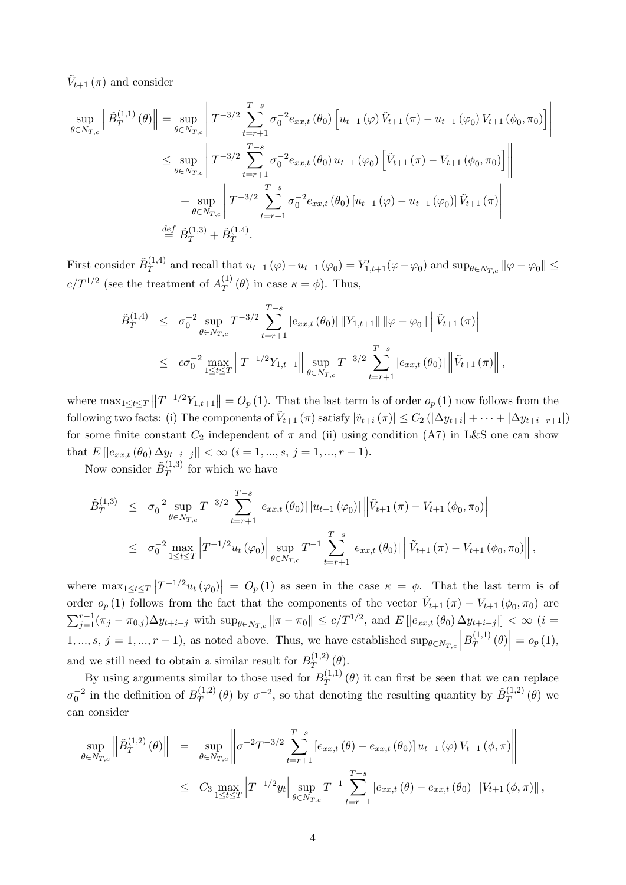$\tilde{V}_{t+1}(\pi)$  and consider

$$
\sup_{\theta \in N_{T,c}} \left\| \tilde{B}_{T}^{(1,1)} \left( \theta \right) \right\| = \sup_{\theta \in N_{T,c}} \left\| T^{-3/2} \sum_{t=r+1}^{T-s} \sigma_0^{-2} e_{xx,t} \left( \theta_0 \right) \left[ u_{t-1} \left( \varphi \right) \tilde{V}_{t+1} \left( \pi \right) - u_{t-1} \left( \varphi_0 \right) V_{t+1} \left( \phi_0, \pi_0 \right) \right] \right\|
$$
  
\n
$$
\leq \sup_{\theta \in N_{T,c}} \left\| T^{-3/2} \sum_{t=r+1}^{T-s} \sigma_0^{-2} e_{xx,t} \left( \theta_0 \right) u_{t-1} \left( \varphi_0 \right) \left[ \tilde{V}_{t+1} \left( \pi \right) - V_{t+1} \left( \phi_0, \pi_0 \right) \right] \right\|
$$
  
\n
$$
+ \sup_{\theta \in N_{T,c}} \left\| T^{-3/2} \sum_{t=r+1}^{T-s} \sigma_0^{-2} e_{xx,t} \left( \theta_0 \right) \left[ u_{t-1} \left( \varphi \right) - u_{t-1} \left( \varphi_0 \right) \right] \tilde{V}_{t+1} \left( \pi \right) \right\|
$$
  
\n
$$
\stackrel{def}{=} \tilde{B}_T^{(1,3)} + \tilde{B}_T^{(1,4)}.
$$

First consider  $\tilde{B}_T^{(1,4)}$  $T^{(1,4)}$  and recall that  $u_{t-1}(\varphi) - u_{t-1}(\varphi_0) = Y'_{1,t+1}(\varphi - \varphi_0)$  and  $\sup_{\theta \in N_{T,c}} \|\varphi - \varphi_0\| \le$  $c/T^{1/2}$  (see the treatment of  $A_T^{(1)}$ )  $T^{(1)}(\theta)$  in case  $\kappa = \phi$ ). Thus,

$$
\tilde{B}_{T}^{(1,4)} \leq \sigma_{0}^{-2} \sup_{\theta \in N_{T,c}} T^{-3/2} \sum_{t=r+1}^{T-s} |e_{xx,t}(\theta_{0})| \|Y_{1,t+1}\| \|\varphi - \varphi_{0}\| \|\tilde{V}_{t+1}(\pi)\|
$$
\n
$$
\leq c\sigma_{0}^{-2} \max_{1 \leq t \leq T} \|T^{-1/2}Y_{1,t+1}\| \sup_{\theta \in N_{T,c}} T^{-3/2} \sum_{t=r+1}^{T-s} |e_{xx,t}(\theta_{0})| \|\tilde{V}_{t+1}(\pi)\|,
$$

where  $\max_{1 \leq t \leq T} ||T^{-1/2}Y_{1,t+1}|| = O_p(1)$ . That the last term is of order  $o_p(1)$  now follows from the following two facts: (i) The components of  $\tilde{V}_{t+1} (\pi)$  satisfy  $|\tilde{v}_{t+i} (\pi)| \leq C_2 (|\Delta y_{t+i}| + \cdots + |\Delta y_{t+i-r+1}|)$ for some finite constant  $C_2$  independent of  $\pi$  and (ii) using condition (A7) in L&S one can show that  $E[|e_{xx,t}(\theta_0) \Delta y_{t+i-j}|] < \infty$   $(i = 1, ..., s, j = 1, ..., r - 1)$ .

Now consider  $\tilde{B}_T^{(1,3)}$  $T^{(1,0)}$  for which we have

$$
\tilde{B}_{T}^{(1,3)} \leq \sigma_{0}^{-2} \sup_{\theta \in N_{T,c}} T^{-3/2} \sum_{t=r+1}^{T-s} |e_{xx,t}(\theta_{0})| |u_{t-1}(\varphi_{0})| \left\| \tilde{V}_{t+1}(\pi) - V_{t+1}(\phi_{0}, \pi_{0}) \right\|
$$
\n
$$
\leq \sigma_{0}^{-2} \max_{1 \leq t \leq T} \left| T^{-1/2} u_{t}(\varphi_{0}) \right| \sup_{\theta \in N_{T,c}} T^{-1} \sum_{t=r+1}^{T-s} |e_{xx,t}(\theta_{0})| \left\| \tilde{V}_{t+1}(\pi) - V_{t+1}(\phi_{0}, \pi_{0}) \right\|,
$$

where  $\max_{1 \leq t \leq T} |T^{-1/2} u_t(\varphi_0)| = O_p(1)$  as seen in the case  $\kappa = \phi$ . That the last term is of order  $o_p(1)$  follows from the fact that the components of the vector  $\tilde{V}_{t+1}(\pi) - V_{t+1}(\phi_0, \pi_0)$  are  $\sum_{j=1}^{r-1} (\pi_j - \pi_{0,j}) \Delta y_{t+i-j}$  with  $\sup_{\theta \in N_{T,c}} ||\pi - \pi_0|| \le c/T^{1/2}$ , and  $E[|e_{xx,t}(\theta_0) \Delta y_{t+i-j}|] < \infty$  (*i* =  $1, ..., s, j = 1, ..., r - 1$ , as noted above. Thus, we have established  $\sup_{\theta \in N_{T,c}} |B_T^{(1,1)}|$  $\left| \mathcal{F}_{T}^{(1,1)}\left(\theta\right) \right| = o_{p}\left(1\right),$ and we still need to obtain a similar result for  $B_T^{(1,2)}$  $T^{(1,2)}(\theta).$ 

By using arguments similar to those used for  $B_T^{(1,1)}$  $T^{(1,1)}$  ( $\theta$ ) it can first be seen that we can replace  $\sigma_0^{-2}$  in the definition of  $B_T^{(1,2)}$  $T^{(1,2)}$  ( $\theta$ ) by  $\sigma^{-2}$ , so that denoting the resulting quantity by  $\tilde{B}_T^{(1,2)}$  $T^{(1,2)}$  ( $\theta$ ) we can consider

$$
\sup_{\theta \in N_{T,c}} \left\| \tilde{B}_T^{(1,2)}(\theta) \right\| = \sup_{\theta \in N_{T,c}} \left\| \sigma^{-2} T^{-3/2} \sum_{t=r+1}^{T-s} \left[ e_{xx,t}(\theta) - e_{xx,t}(\theta_0) \right] u_{t-1}(\varphi) V_{t+1}(\phi, \pi) \right\|
$$
  

$$
\leq C_3 \max_{1 \leq t \leq T} \left| T^{-1/2} y_t \right| \sup_{\theta \in N_{T,c}} T^{-1} \sum_{t=r+1}^{T-s} \left| e_{xx,t}(\theta) - e_{xx,t}(\theta_0) \right| \left\| V_{t+1}(\phi, \pi) \right\|,
$$